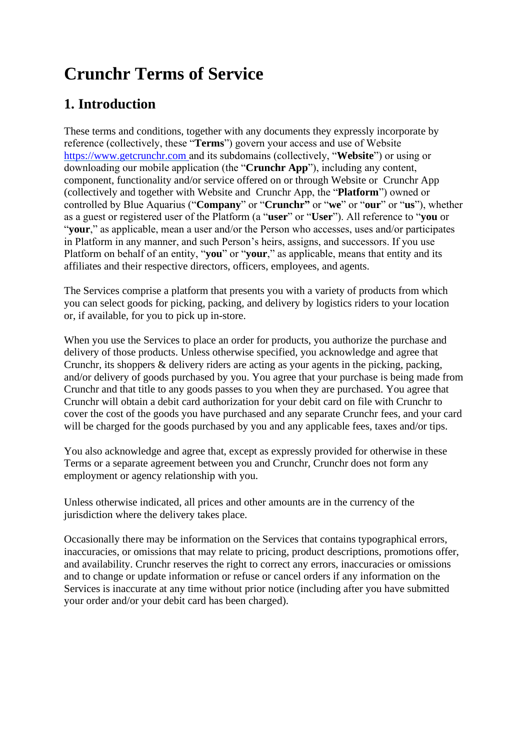# **Crunchr Terms of Service**

### **1. Introduction**

These terms and conditions, together with any documents they expressly incorporate by reference (collectively, these "**Terms**") govern your access and use of Website https://www.getcrunchr.com and its subdomains (collectively, "**Website**") or using or downloading our mobile application (the "**Crunchr App**"), including any content, component, functionality and/or service offered on or through Website or Crunchr App (collectively and together with Website and Crunchr App, the "**Platform**") owned or controlled by Blue Aquarius ("**Company**" or "**Crunchr"** or "**we**" or "**our**" or "**us**"), whether as a guest or registered user of the Platform (a "**user**" or "**User**"). All reference to "**you** or "**your**," as applicable, mean a user and/or the Person who accesses, uses and/or participates in Platform in any manner, and such Person's heirs, assigns, and successors. If you use Platform on behalf of an entity, "**you**" or "**your**," as applicable, means that entity and its affiliates and their respective directors, officers, employees, and agents.

The Services comprise a platform that presents you with a variety of products from which you can select goods for picking, packing, and delivery by logistics riders to your location or, if available, for you to pick up in-store.

When you use the Services to place an order for products, you authorize the purchase and delivery of those products. Unless otherwise specified, you acknowledge and agree that Crunchr, its shoppers & delivery riders are acting as your agents in the picking, packing, and/or delivery of goods purchased by you. You agree that your purchase is being made from Crunchr and that title to any goods passes to you when they are purchased. You agree that Crunchr will obtain a debit card authorization for your debit card on file with Crunchr to cover the cost of the goods you have purchased and any separate Crunchr fees, and your card will be charged for the goods purchased by you and any applicable fees, taxes and/or tips.

You also acknowledge and agree that, except as expressly provided for otherwise in these Terms or a separate agreement between you and Crunchr, Crunchr does not form any employment or agency relationship with you.

Unless otherwise indicated, all prices and other amounts are in the currency of the jurisdiction where the delivery takes place.

Occasionally there may be information on the Services that contains typographical errors, inaccuracies, or omissions that may relate to pricing, product descriptions, promotions offer, and availability. Crunchr reserves the right to correct any errors, inaccuracies or omissions and to change or update information or refuse or cancel orders if any information on the Services is inaccurate at any time without prior notice (including after you have submitted your order and/or your debit card has been charged).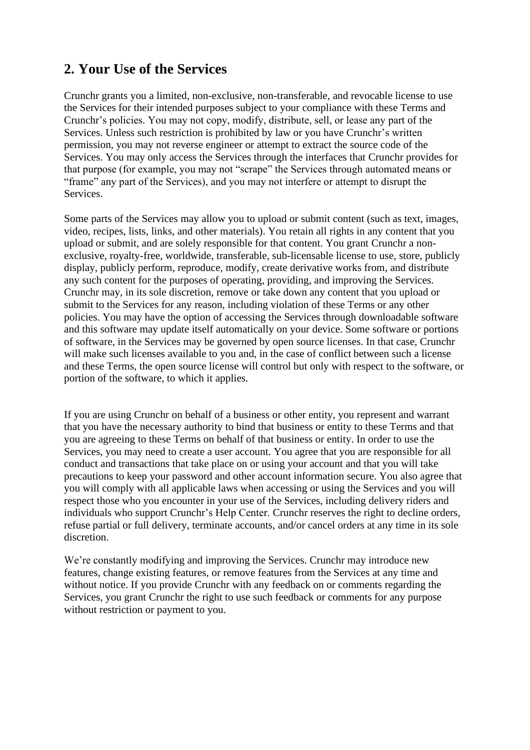### **2. Your Use of the Services**

Crunchr grants you a limited, non-exclusive, non-transferable, and revocable license to use the Services for their intended purposes subject to your compliance with these Terms and Crunchr's policies. You may not copy, modify, distribute, sell, or lease any part of the Services. Unless such restriction is prohibited by law or you have Crunchr's written permission, you may not reverse engineer or attempt to extract the source code of the Services. You may only access the Services through the interfaces that Crunchr provides for that purpose (for example, you may not "scrape" the Services through automated means or "frame" any part of the Services), and you may not interfere or attempt to disrupt the Services.

Some parts of the Services may allow you to upload or submit content (such as text, images, video, recipes, lists, links, and other materials). You retain all rights in any content that you upload or submit, and are solely responsible for that content. You grant Crunchr a nonexclusive, royalty-free, worldwide, transferable, sub-licensable license to use, store, publicly display, publicly perform, reproduce, modify, create derivative works from, and distribute any such content for the purposes of operating, providing, and improving the Services. Crunchr may, in its sole discretion, remove or take down any content that you upload or submit to the Services for any reason, including violation of these Terms or any other policies. You may have the option of accessing the Services through downloadable software and this software may update itself automatically on your device. Some software or portions of software, in the Services may be governed by open source licenses. In that case, Crunchr will make such licenses available to you and, in the case of conflict between such a license and these Terms, the open source license will control but only with respect to the software, or portion of the software, to which it applies.

If you are using Crunchr on behalf of a business or other entity, you represent and warrant that you have the necessary authority to bind that business or entity to these Terms and that you are agreeing to these Terms on behalf of that business or entity. In order to use the Services, you may need to create a user account. You agree that you are responsible for all conduct and transactions that take place on or using your account and that you will take precautions to keep your password and other account information secure. You also agree that you will comply with all applicable laws when accessing or using the Services and you will respect those who you encounter in your use of the Services, including delivery riders and individuals who support Crunchr's Help Center. Crunchr reserves the right to decline orders, refuse partial or full delivery, terminate accounts, and/or cancel orders at any time in its sole discretion.

We're constantly modifying and improving the Services. Crunchr may introduce new features, change existing features, or remove features from the Services at any time and without notice. If you provide Crunchr with any feedback on or comments regarding the Services, you grant Crunchr the right to use such feedback or comments for any purpose without restriction or payment to you.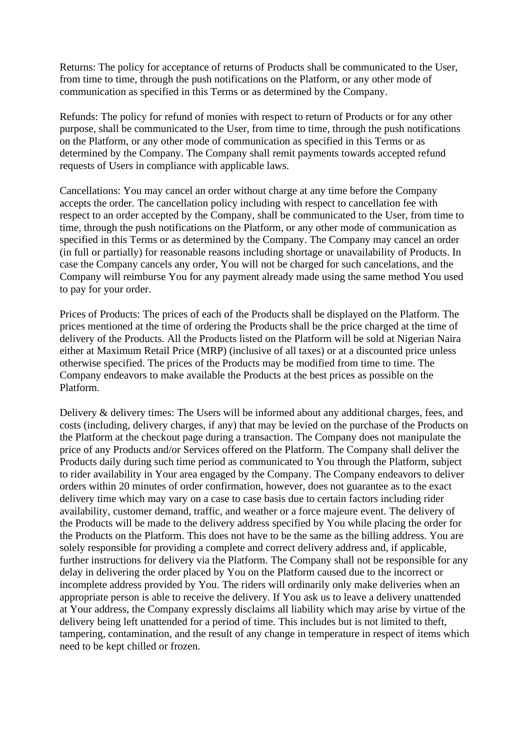Returns: The policy for acceptance of returns of Products shall be communicated to the User, from time to time, through the push notifications on the Platform, or any other mode of communication as specified in this Terms or as determined by the Company.

Refunds: The policy for refund of monies with respect to return of Products or for any other purpose, shall be communicated to the User, from time to time, through the push notifications on the Platform, or any other mode of communication as specified in this Terms or as determined by the Company. The Company shall remit payments towards accepted refund requests of Users in compliance with applicable laws.

Cancellations: You may cancel an order without charge at any time before the Company accepts the order. The cancellation policy including with respect to cancellation fee with respect to an order accepted by the Company, shall be communicated to the User, from time to time, through the push notifications on the Platform, or any other mode of communication as specified in this Terms or as determined by the Company. The Company may cancel an order (in full or partially) for reasonable reasons including shortage or unavailability of Products. In case the Company cancels any order, You will not be charged for such cancelations, and the Company will reimburse You for any payment already made using the same method You used to pay for your order.

Prices of Products: The prices of each of the Products shall be displayed on the Platform. The prices mentioned at the time of ordering the Products shall be the price charged at the time of delivery of the Products. All the Products listed on the Platform will be sold at Nigerian Naira either at Maximum Retail Price (MRP) (inclusive of all taxes) or at a discounted price unless otherwise specified. The prices of the Products may be modified from time to time. The Company endeavors to make available the Products at the best prices as possible on the Platform.

Delivery & delivery times: The Users will be informed about any additional charges, fees, and costs (including, delivery charges, if any) that may be levied on the purchase of the Products on the Platform at the checkout page during a transaction. The Company does not manipulate the price of any Products and/or Services offered on the Platform. The Company shall deliver the Products daily during such time period as communicated to You through the Platform, subject to rider availability in Your area engaged by the Company. The Company endeavors to deliver orders within 20 minutes of order confirmation, however, does not guarantee as to the exact delivery time which may vary on a case to case basis due to certain factors including rider availability, customer demand, traffic, and weather or a force majeure event. The delivery of the Products will be made to the delivery address specified by You while placing the order for the Products on the Platform. This does not have to be the same as the billing address. You are solely responsible for providing a complete and correct delivery address and, if applicable, further instructions for delivery via the Platform. The Company shall not be responsible for any delay in delivering the order placed by You on the Platform caused due to the incorrect or incomplete address provided by You. The riders will ordinarily only make deliveries when an appropriate person is able to receive the delivery. If You ask us to leave a delivery unattended at Your address, the Company expressly disclaims all liability which may arise by virtue of the delivery being left unattended for a period of time. This includes but is not limited to theft, tampering, contamination, and the result of any change in temperature in respect of items which need to be kept chilled or frozen.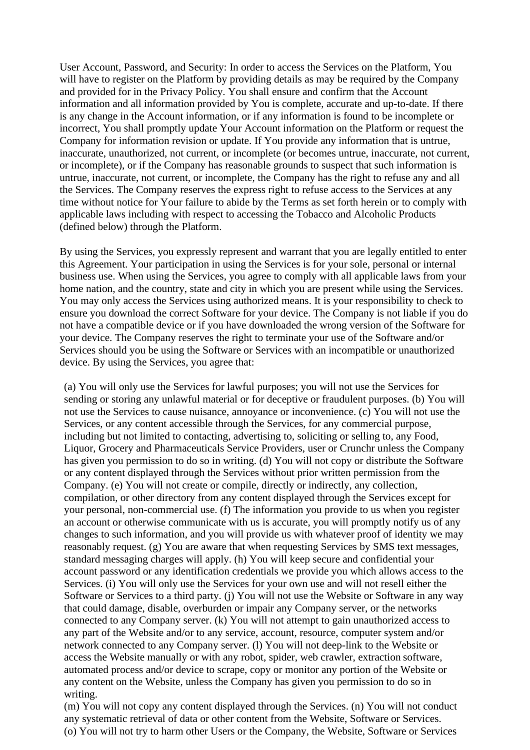User Account, Password, and Security: In order to access the Services on the Platform, You will have to register on the Platform by providing details as may be required by the Company and provided for in the Privacy Policy. You shall ensure and confirm that the Account information and all information provided by You is complete, accurate and up-to-date. If there is any change in the Account information, or if any information is found to be incomplete or incorrect, You shall promptly update Your Account information on the Platform or request the Company for information revision or update. If You provide any information that is untrue, inaccurate, unauthorized, not current, or incomplete (or becomes untrue, inaccurate, not current, or incomplete), or if the Company has reasonable grounds to suspect that such information is untrue, inaccurate, not current, or incomplete, the Company has the right to refuse any and all the Services. The Company reserves the express right to refuse access to the Services at any time without notice for Your failure to abide by the Terms as set forth herein or to comply with applicable laws including with respect to accessing the Tobacco and Alcoholic Products (defined below) through the Platform.

By using the Services, you expressly represent and warrant that you are legally entitled to enter this Agreement. Your participation in using the Services is for your sole, personal or internal business use. When using the Services, you agree to comply with all applicable laws from your home nation, and the country, state and city in which you are present while using the Services. You may only access the Services using authorized means. It is your responsibility to check to ensure you download the correct Software for your device. The Company is not liable if you do not have a compatible device or if you have downloaded the wrong version of the Software for your device. The Company reserves the right to terminate your use of the Software and/or Services should you be using the Software or Services with an incompatible or unauthorized device. By using the Services, you agree that:

(a) You will only use the Services for lawful purposes; you will not use the Services for sending or storing any unlawful material or for deceptive or fraudulent purposes. (b) You will not use the Services to cause nuisance, annoyance or inconvenience. (c) You will not use the Services, or any content accessible through the Services, for any commercial purpose, including but not limited to contacting, advertising to, soliciting or selling to, any Food, Liquor, Grocery and Pharmaceuticals Service Providers, user or Crunchr unless the Company has given you permission to do so in writing. (d) You will not copy or distribute the Software or any content displayed through the Services without prior written permission from the Company. (e) You will not create or compile, directly or indirectly, any collection, compilation, or other directory from any content displayed through the Services except for your personal, non-commercial use. (f) The information you provide to us when you register an account or otherwise communicate with us is accurate, you will promptly notify us of any changes to such information, and you will provide us with whatever proof of identity we may reasonably request. (g) You are aware that when requesting Services by SMS text messages, standard messaging charges will apply. (h) You will keep secure and confidential your account password or any identification credentials we provide you which allows access to the Services. (i) You will only use the Services for your own use and will not resell either the Software or Services to a third party. (j) You will not use the Website or Software in any way that could damage, disable, overburden or impair any Company server, or the networks connected to any Company server. (k) You will not attempt to gain unauthorized access to any part of the Website and/or to any service, account, resource, computer system and/or network connected to any Company server. (l) You will not deep-link to the Website or access the Website manually or with any robot, spider, web crawler, extraction software, automated process and/or device to scrape, copy or monitor any portion of the Website or any content on the Website, unless the Company has given you permission to do so in writing.

(m) You will not copy any content displayed through the Services. (n) You will not conduct any systematic retrieval of data or other content from the Website, Software or Services. (o) You will not try to harm other Users or the Company, the Website, Software or Services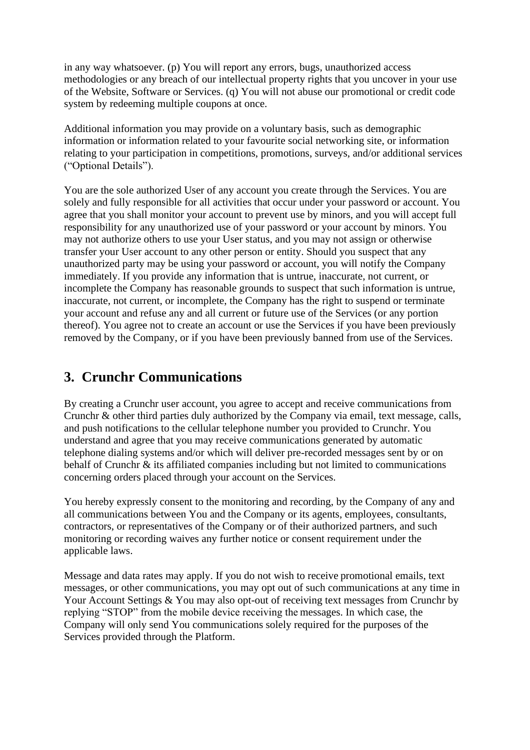in any way whatsoever. (p) You will report any errors, bugs, unauthorized access methodologies or any breach of our intellectual property rights that you uncover in your use of the Website, Software or Services. (q) You will not abuse our promotional or credit code system by redeeming multiple coupons at once.

Additional information you may provide on a voluntary basis, such as demographic information or information related to your favourite social networking site, or information relating to your participation in competitions, promotions, surveys, and/or additional services ("Optional Details").

You are the sole authorized User of any account you create through the Services. You are solely and fully responsible for all activities that occur under your password or account. You agree that you shall monitor your account to prevent use by minors, and you will accept full responsibility for any unauthorized use of your password or your account by minors. You may not authorize others to use your User status, and you may not assign or otherwise transfer your User account to any other person or entity. Should you suspect that any unauthorized party may be using your password or account, you will notify the Company immediately. If you provide any information that is untrue, inaccurate, not current, or incomplete the Company has reasonable grounds to suspect that such information is untrue, inaccurate, not current, or incomplete, the Company has the right to suspend or terminate your account and refuse any and all current or future use of the Services (or any portion thereof). You agree not to create an account or use the Services if you have been previously removed by the Company, or if you have been previously banned from use of the Services.

#### **3. Crunchr Communications**

By creating a Crunchr user account, you agree to accept and receive communications from Crunchr & other third parties duly authorized by the Company via email, text message, calls, and push notifications to the cellular telephone number you provided to Crunchr. You understand and agree that you may receive communications generated by automatic telephone dialing systems and/or which will deliver pre-recorded messages sent by or on behalf of Crunchr & its affiliated companies including but not limited to communications concerning orders placed through your account on the Services.

You hereby expressly consent to the monitoring and recording, by the Company of any and all communications between You and the Company or its agents, employees, consultants, contractors, or representatives of the Company or of their authorized partners, and such monitoring or recording waives any further notice or consent requirement under the applicable laws.

Message and data rates may apply. If you do not wish to receive promotional emails, text messages, or other communications, you may opt out of such communications at any time in Your Account Settings & You may also opt-out of receiving text messages from Crunchr by replying "STOP" from the mobile device receiving the messages. In which case, the Company will only send You communications solely required for the purposes of the Services provided through the Platform.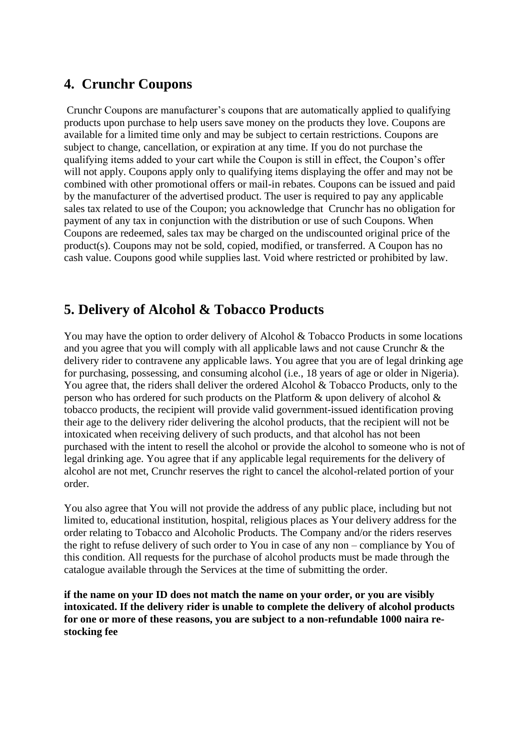#### **4. Crunchr Coupons**

Crunchr Coupons are manufacturer's coupons that are automatically applied to qualifying products upon purchase to help users save money on the products they love. Coupons are available for a limited time only and may be subject to certain restrictions. Coupons are subject to change, cancellation, or expiration at any time. If you do not purchase the qualifying items added to your cart while the Coupon is still in effect, the Coupon's offer will not apply. Coupons apply only to qualifying items displaying the offer and may not be combined with other promotional offers or mail-in rebates. Coupons can be issued and paid by the manufacturer of the advertised product. The user is required to pay any applicable sales tax related to use of the Coupon; you acknowledge that Crunchr has no obligation for payment of any tax in conjunction with the distribution or use of such Coupons. When Coupons are redeemed, sales tax may be charged on the undiscounted original price of the product(s). Coupons may not be sold, copied, modified, or transferred. A Coupon has no cash value. Coupons good while supplies last. Void where restricted or prohibited by law.

### **5. Delivery of Alcohol & Tobacco Products**

You may have the option to order delivery of Alcohol & Tobacco Products in some locations and you agree that you will comply with all applicable laws and not cause Crunchr & the delivery rider to contravene any applicable laws. You agree that you are of legal drinking age for purchasing, possessing, and consuming alcohol (i.e., 18 years of age or older in Nigeria). You agree that, the riders shall deliver the ordered Alcohol & Tobacco Products, only to the person who has ordered for such products on the Platform & upon delivery of alcohol & tobacco products, the recipient will provide valid government-issued identification proving their age to the delivery rider delivering the alcohol products, that the recipient will not be intoxicated when receiving delivery of such products, and that alcohol has not been purchased with the intent to resell the alcohol or provide the alcohol to someone who is not of legal drinking age. You agree that if any applicable legal requirements for the delivery of alcohol are not met, Crunchr reserves the right to cancel the alcohol-related portion of your order.

You also agree that You will not provide the address of any public place, including but not limited to, educational institution, hospital, religious places as Your delivery address for the order relating to Tobacco and Alcoholic Products. The Company and/or the riders reserves the right to refuse delivery of such order to You in case of any non – compliance by You of this condition. All requests for the purchase of alcohol products must be made through the catalogue available through the Services at the time of submitting the order.

**if the name on your ID does not match the name on your order, or you are visibly intoxicated. If the delivery rider is unable to complete the delivery of alcohol products for one or more of these reasons, you are subject to a non-refundable 1000 naira restocking fee**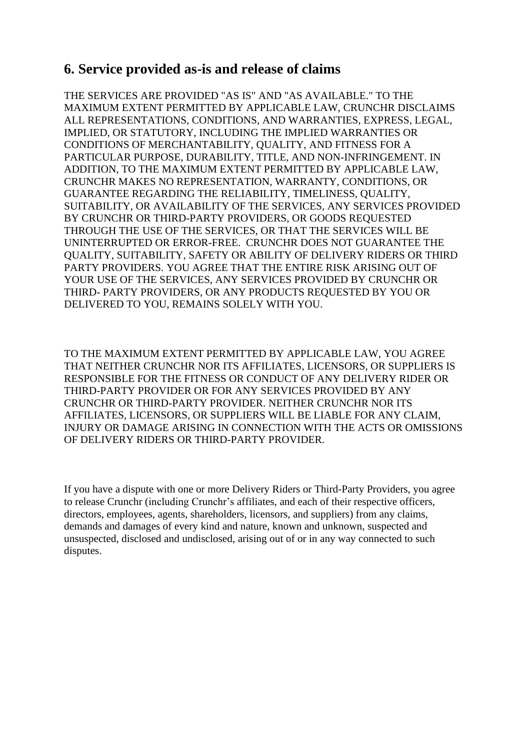#### **6. Service provided as-is and release of claims**

THE SERVICES ARE PROVIDED "AS IS" AND "AS AVAILABLE." TO THE MAXIMUM EXTENT PERMITTED BY APPLICABLE LAW, CRUNCHR DISCLAIMS ALL REPRESENTATIONS, CONDITIONS, AND WARRANTIES, EXPRESS, LEGAL, IMPLIED, OR STATUTORY, INCLUDING THE IMPLIED WARRANTIES OR CONDITIONS OF MERCHANTABILITY, QUALITY, AND FITNESS FOR A PARTICULAR PURPOSE, DURABILITY, TITLE, AND NON-INFRINGEMENT. IN ADDITION, TO THE MAXIMUM EXTENT PERMITTED BY APPLICABLE LAW, CRUNCHR MAKES NO REPRESENTATION, WARRANTY, CONDITIONS, OR GUARANTEE REGARDING THE RELIABILITY, TIMELINESS, QUALITY, SUITABILITY, OR AVAILABILITY OF THE SERVICES, ANY SERVICES PROVIDED BY CRUNCHR OR THIRD-PARTY PROVIDERS, OR GOODS REQUESTED THROUGH THE USE OF THE SERVICES, OR THAT THE SERVICES WILL BE UNINTERRUPTED OR ERROR-FREE. CRUNCHR DOES NOT GUARANTEE THE QUALITY, SUITABILITY, SAFETY OR ABILITY OF DELIVERY RIDERS OR THIRD PARTY PROVIDERS. YOU AGREE THAT THE ENTIRE RISK ARISING OUT OF YOUR USE OF THE SERVICES, ANY SERVICES PROVIDED BY CRUNCHR OR THIRD- PARTY PROVIDERS, OR ANY PRODUCTS REQUESTED BY YOU OR DELIVERED TO YOU, REMAINS SOLELY WITH YOU.

TO THE MAXIMUM EXTENT PERMITTED BY APPLICABLE LAW, YOU AGREE THAT NEITHER CRUNCHR NOR ITS AFFILIATES, LICENSORS, OR SUPPLIERS IS RESPONSIBLE FOR THE FITNESS OR CONDUCT OF ANY DELIVERY RIDER OR THIRD-PARTY PROVIDER OR FOR ANY SERVICES PROVIDED BY ANY CRUNCHR OR THIRD-PARTY PROVIDER. NEITHER CRUNCHR NOR ITS AFFILIATES, LICENSORS, OR SUPPLIERS WILL BE LIABLE FOR ANY CLAIM, INJURY OR DAMAGE ARISING IN CONNECTION WITH THE ACTS OR OMISSIONS OF DELIVERY RIDERS OR THIRD-PARTY PROVIDER.

If you have a dispute with one or more Delivery Riders or Third-Party Providers, you agree to release Crunchr (including Crunchr's affiliates, and each of their respective officers, directors, employees, agents, shareholders, licensors, and suppliers) from any claims, demands and damages of every kind and nature, known and unknown, suspected and unsuspected, disclosed and undisclosed, arising out of or in any way connected to such disputes.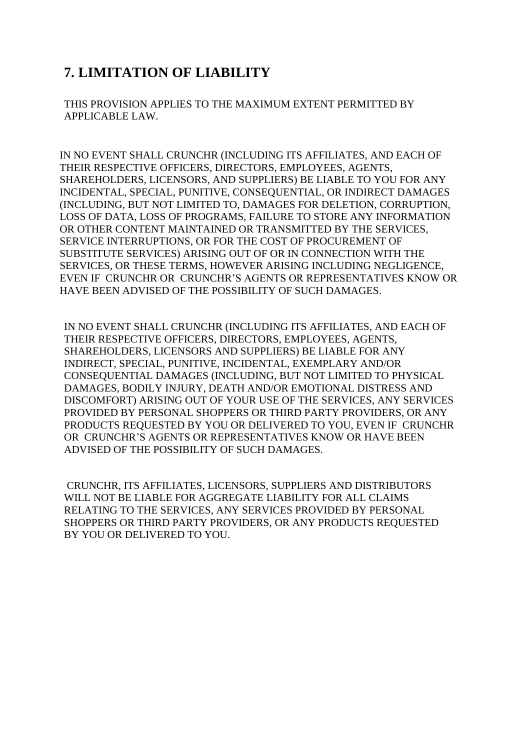### **7. LIMITATION OF LIABILITY**

THIS PROVISION APPLIES TO THE MAXIMUM EXTENT PERMITTED BY APPLICABLE LAW.

IN NO EVENT SHALL CRUNCHR (INCLUDING ITS AFFILIATES, AND EACH OF THEIR RESPECTIVE OFFICERS, DIRECTORS, EMPLOYEES, AGENTS, SHAREHOLDERS, LICENSORS, AND SUPPLIERS) BE LIABLE TO YOU FOR ANY INCIDENTAL, SPECIAL, PUNITIVE, CONSEQUENTIAL, OR INDIRECT DAMAGES (INCLUDING, BUT NOT LIMITED TO, DAMAGES FOR DELETION, CORRUPTION, LOSS OF DATA, LOSS OF PROGRAMS, FAILURE TO STORE ANY INFORMATION OR OTHER CONTENT MAINTAINED OR TRANSMITTED BY THE SERVICES, SERVICE INTERRUPTIONS, OR FOR THE COST OF PROCUREMENT OF SUBSTITUTE SERVICES) ARISING OUT OF OR IN CONNECTION WITH THE SERVICES, OR THESE TERMS, HOWEVER ARISING INCLUDING NEGLIGENCE, EVEN IF CRUNCHR OR CRUNCHR'S AGENTS OR REPRESENTATIVES KNOW OR HAVE BEEN ADVISED OF THE POSSIBILITY OF SUCH DAMAGES.

IN NO EVENT SHALL CRUNCHR (INCLUDING ITS AFFILIATES, AND EACH OF THEIR RESPECTIVE OFFICERS, DIRECTORS, EMPLOYEES, AGENTS, SHAREHOLDERS, LICENSORS AND SUPPLIERS) BE LIABLE FOR ANY INDIRECT, SPECIAL, PUNITIVE, INCIDENTAL, EXEMPLARY AND/OR CONSEQUENTIAL DAMAGES (INCLUDING, BUT NOT LIMITED TO PHYSICAL DAMAGES, BODILY INJURY, DEATH AND/OR EMOTIONAL DISTRESS AND DISCOMFORT) ARISING OUT OF YOUR USE OF THE SERVICES, ANY SERVICES PROVIDED BY PERSONAL SHOPPERS OR THIRD PARTY PROVIDERS, OR ANY PRODUCTS REQUESTED BY YOU OR DELIVERED TO YOU, EVEN IF CRUNCHR OR CRUNCHR'S AGENTS OR REPRESENTATIVES KNOW OR HAVE BEEN ADVISED OF THE POSSIBILITY OF SUCH DAMAGES.

CRUNCHR, ITS AFFILIATES, LICENSORS, SUPPLIERS AND DISTRIBUTORS WILL NOT BE LIABLE FOR AGGREGATE LIABILITY FOR ALL CLAIMS RELATING TO THE SERVICES, ANY SERVICES PROVIDED BY PERSONAL SHOPPERS OR THIRD PARTY PROVIDERS, OR ANY PRODUCTS REQUESTED BY YOU OR DELIVERED TO YOU.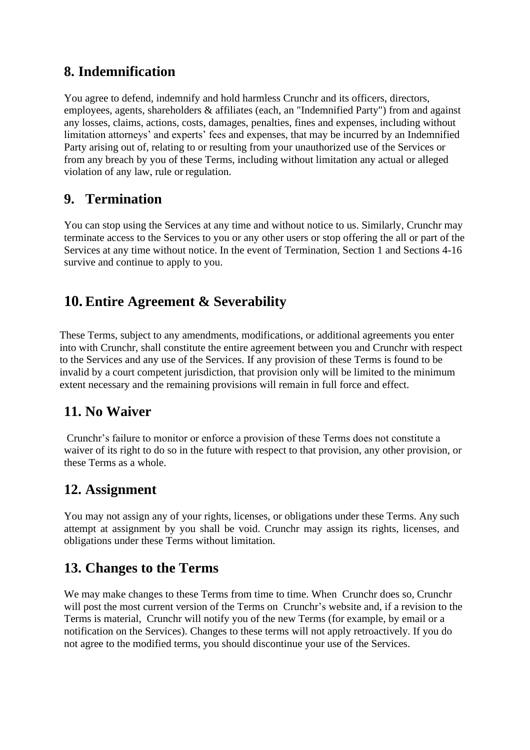### **8. Indemnification**

You agree to defend, indemnify and hold harmless Crunchr and its officers, directors, employees, agents, shareholders & affiliates (each, an "Indemnified Party") from and against any losses, claims, actions, costs, damages, penalties, fines and expenses, including without limitation attorneys' and experts' fees and expenses, that may be incurred by an Indemnified Party arising out of, relating to or resulting from your unauthorized use of the Services or from any breach by you of these Terms, including without limitation any actual or alleged violation of any law, rule or regulation.

### **9. Termination**

You can stop using the Services at any time and without notice to us. Similarly, Crunchr may terminate access to the Services to you or any other users or stop offering the all or part of the Services at any time without notice. In the event of Termination, Section 1 and Sections 4-16 survive and continue to apply to you.

## **10. Entire Agreement & Severability**

These Terms, subject to any amendments, modifications, or additional agreements you enter into with Crunchr, shall constitute the entire agreement between you and Crunchr with respect to the Services and any use of the Services. If any provision of these Terms is found to be invalid by a court competent jurisdiction, that provision only will be limited to the minimum extent necessary and the remaining provisions will remain in full force and effect.

### **11. No Waiver**

Crunchr's failure to monitor or enforce a provision of these Terms does not constitute a waiver of its right to do so in the future with respect to that provision, any other provision, or these Terms as a whole.

#### **12. Assignment**

You may not assign any of your rights, licenses, or obligations under these Terms. Any such attempt at assignment by you shall be void. Crunchr may assign its rights, licenses, and obligations under these Terms without limitation.

#### **13. Changes to the Terms**

We may make changes to these Terms from time to time. When Crunchr does so, Crunchr will post the most current version of the Terms on Crunchr's website and, if a revision to the Terms is material, Crunchr will notify you of the new Terms (for example, by email or a notification on the Services). Changes to these terms will not apply retroactively. If you do not agree to the modified terms, you should discontinue your use of the Services.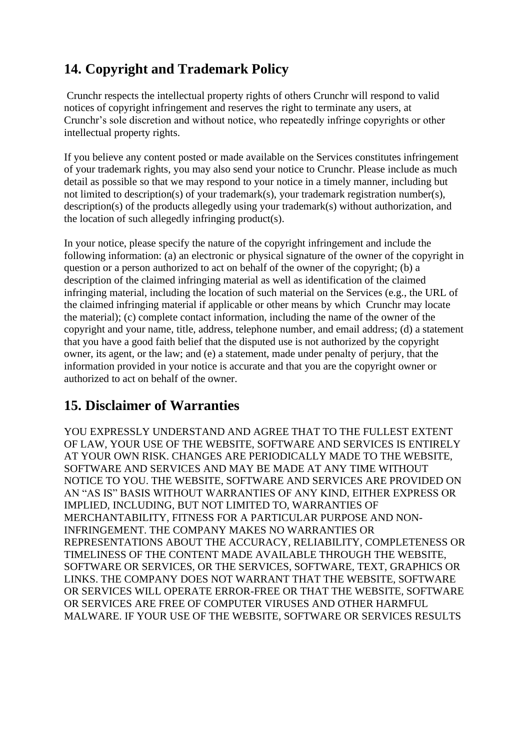## **14. Copyright and Trademark Policy**

Crunchr respects the intellectual property rights of others Crunchr will respond to valid notices of copyright infringement and reserves the right to terminate any users, at Crunchr's sole discretion and without notice, who repeatedly infringe copyrights or other intellectual property rights.

If you believe any content posted or made available on the Services constitutes infringement of your trademark rights, you may also send your notice to Crunchr. Please include as much detail as possible so that we may respond to your notice in a timely manner, including but not limited to description(s) of your trademark(s), your trademark registration number(s), description(s) of the products allegedly using your trademark(s) without authorization, and the location of such allegedly infringing product(s).

In your notice, please specify the nature of the copyright infringement and include the following information: (a) an electronic or physical signature of the owner of the copyright in question or a person authorized to act on behalf of the owner of the copyright; (b) a description of the claimed infringing material as well as identification of the claimed infringing material, including the location of such material on the Services (e.g., the URL of the claimed infringing material if applicable or other means by which Crunchr may locate the material); (c) complete contact information, including the name of the owner of the copyright and your name, title, address, telephone number, and email address; (d) a statement that you have a good faith belief that the disputed use is not authorized by the copyright owner, its agent, or the law; and (e) a statement, made under penalty of perjury, that the information provided in your notice is accurate and that you are the copyright owner or authorized to act on behalf of the owner.

### **15. Disclaimer of Warranties**

YOU EXPRESSLY UNDERSTAND AND AGREE THAT TO THE FULLEST EXTENT OF LAW, YOUR USE OF THE WEBSITE, SOFTWARE AND SERVICES IS ENTIRELY AT YOUR OWN RISK. CHANGES ARE PERIODICALLY MADE TO THE WEBSITE, SOFTWARE AND SERVICES AND MAY BE MADE AT ANY TIME WITHOUT NOTICE TO YOU. THE WEBSITE, SOFTWARE AND SERVICES ARE PROVIDED ON AN "AS IS" BASIS WITHOUT WARRANTIES OF ANY KIND, EITHER EXPRESS OR IMPLIED, INCLUDING, BUT NOT LIMITED TO, WARRANTIES OF MERCHANTABILITY, FITNESS FOR A PARTICULAR PURPOSE AND NON-INFRINGEMENT. THE COMPANY MAKES NO WARRANTIES OR REPRESENTATIONS ABOUT THE ACCURACY, RELIABILITY, COMPLETENESS OR TIMELINESS OF THE CONTENT MADE AVAILABLE THROUGH THE WEBSITE, SOFTWARE OR SERVICES, OR THE SERVICES, SOFTWARE, TEXT, GRAPHICS OR LINKS. THE COMPANY DOES NOT WARRANT THAT THE WEBSITE, SOFTWARE OR SERVICES WILL OPERATE ERROR-FREE OR THAT THE WEBSITE, SOFTWARE OR SERVICES ARE FREE OF COMPUTER VIRUSES AND OTHER HARMFUL MALWARE. IF YOUR USE OF THE WEBSITE, SOFTWARE OR SERVICES RESULTS